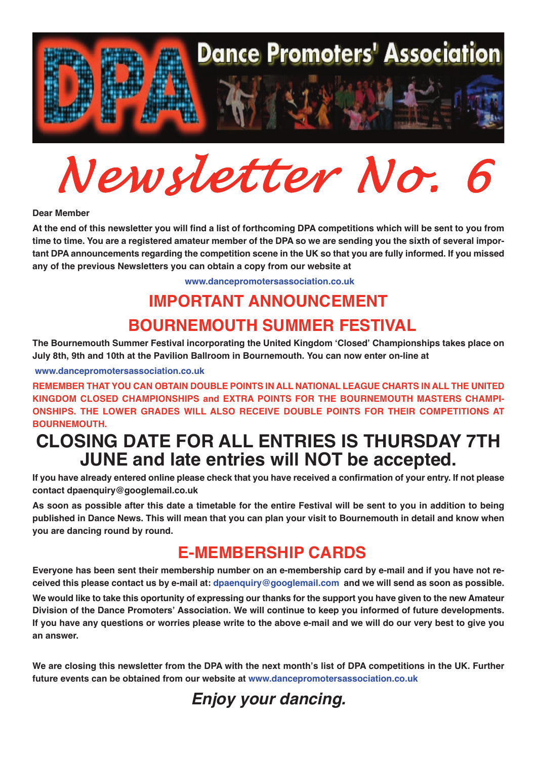

*Newsletter No. 6*

### **Dear Member**

At the end of this newsletter you will find a list of forthcoming DPA competitions which will be sent to you from time to time. You are a registered amateur member of the DPA so we are sending you the sixth of several important DPA announcements regarding the competition scene in the UK so that you are fully informed. If you missed **any of the previous Newsletters you can obtain <sup>a</sup> copy from our website at**

**<www.dancepromotersassociation.co.uk>**

# **IMPORTANT ANNOUNCEMENT BOURNEMOUTH SUMMER FESTIVAL**

**The Bournemouth Summer Festival incorporating the United Kingdom ʻClosed' Championships takes place on July 8th, 9th and 10th at the Pavilion Ballroom in Bournemouth. You can now enter on-line at**

#### **<www.dancepromotersassociation.co.uk>**

**REMEMBER THAT YOU CAN OBTAIN DOUBLE POINTS IN ALL NATIONAL LEAGUE CHARTS IN ALL THE UNITED KINGDOM CLOSED CHAMPIONSHIPS and EXTRA POINTS FOR THE BOURNEMOUTH MASTERS CHAMPI-ONSHIPS. THE LOWER GRADES WILL ALSO RECEIVE DOUBLE POINTS FOR THEIR COMPETITIONS AT BOURNEMOUTH.**

## **CLOSING DATE FOR ALL ENTRIES IS THURSDAY 7TH JUNE and late entries will NOT be accepted.**

If you have already entered online please check that you have received a confirmation of your entry. If not please **contact dpaenquiry@googlemail.co.uk**

As soon as possible after this date a timetable for the entire Festival will be sent to you in addition to being published in Dance News. This will mean that you can plan your visit to Bournemouth in detail and know when **you are dancing round by round.**

## **E-MEMBERSHIP CARDS**

Everyone has been sent their membership number on an e-membership card by e-mail and if you have not received this please contact us by e-mail at: dpaenquiry@googlemail.com and we will send as soon as possible. We would like to take this oportunity of expressing our thanks for the support you have given to the new Amateur **Division of the Dance Promoters' Association. We will continue to keep you informed of future developments.** If you have any questions or worries please write to the above e-mail and we will do our very best to give you **an answer.**

We are closing this newsletter from the DPA with the next month's list of DPA competitions in the UK. Further **future events can be obtained from our website at <www.dancepromotersassociation.co.uk>**

*Enjoy your dancing.*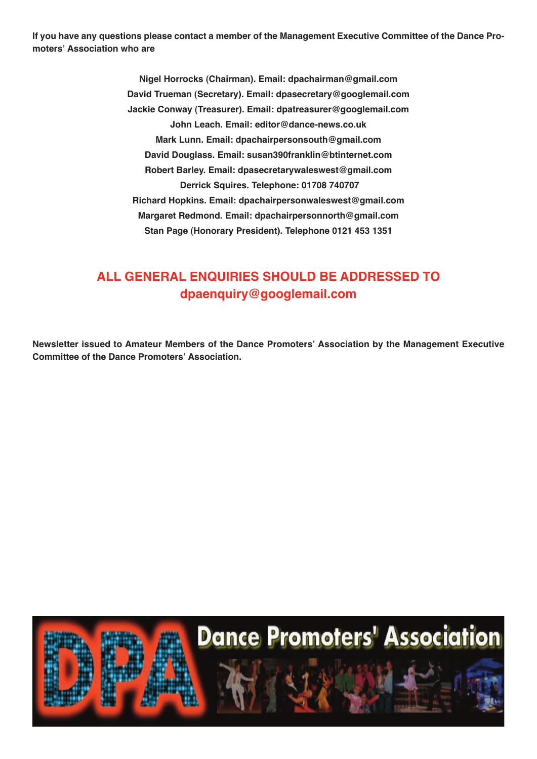If you have any questions please contact a member of the Management Executive Committee of the Dance Pro**moters' Association who are**

> **Nigel Horrocks (Chairman). Email: dpachairman@gmail.com David Trueman (Secretary). Email: dpasecretary@googlemail.com Jackie Conway (Treasurer). Email: dpatreasurer@googlemail.com John Leach. Email: editor@dance-news.co.uk Mark Lunn. Email: dpachairpersonsouth@gmail.com David Douglass. Email: susan390franklin@btinternet.com Robert Barley. Email: dpasecretarywaleswest@gmail.com Derrick Squires. Telephone: 01708 740707 Richard Hopkins. Email: dpachairpersonwaleswest@gmail.com Margaret Redmond. Email: dpachairpersonnorth@gmail.com Stan Page (Honorary President). Telephone 0121 453 1351**

### **ALL GENERAL ENQUIRIES SHOULD BE ADDRESSED TO dpaenquiry@googlemail.com**

**Newsletter issued to Amateur Members of the Dance Promoters' Association by the Management Executive Committee of the Dance Promoters' Association.**